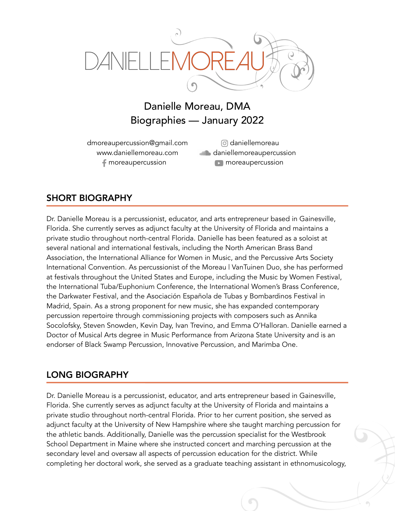

## Danielle Moreau, DMA Biographies — January 2022

dmoreaupercussion@gmail.com www.daniellemoreau.com moreaupercussion

daniellemoreau **daniellemoreaupercussion n** moreaupercussion

## SHORT BIOGRAPHY

Dr. Danielle Moreau is a percussionist, educator, and arts entrepreneur based in Gainesville, Florida. She currently serves as adjunct faculty at the University of Florida and maintains a private studio throughout north-central Florida. Danielle has been featured as a soloist at several national and international festivals, including the North American Brass Band Association, the International Alliance for Women in Music, and the Percussive Arts Society International Convention. As percussionist of the Moreau | VanTuinen Duo, she has performed at festivals throughout the United States and Europe, including the Music by Women Festival, the International Tuba/Euphonium Conference, the International Women's Brass Conference, the Darkwater Festival, and the Asociación Española de Tubas y Bombardinos Festival in Madrid, Spain. As a strong proponent for new music, she has expanded contemporary percussion repertoire through commissioning projects with composers such as Annika Socolofsky, Steven Snowden, Kevin Day, Ivan Trevino, and Emma O'Halloran. Danielle earned a Doctor of Musical Arts degree in Music Performance from Arizona State University and is an endorser of Black Swamp Percussion, Innovative Percussion, and Marimba One.

## LONG BIOGRAPHY

Dr. Danielle Moreau is a percussionist, educator, and arts entrepreneur based in Gainesville, Florida. She currently serves as adjunct faculty at the University of Florida and maintains a private studio throughout north-central Florida. Prior to her current position, she served as adjunct faculty at the University of New Hampshire where she taught marching percussion for the athletic bands. Additionally, Danielle was the percussion specialist for the Westbrook School Department in Maine where she instructed concert and marching percussion at the secondary level and oversaw all aspects of percussion education for the district. While completing her doctoral work, she served as a graduate teaching assistant in ethnomusicology,